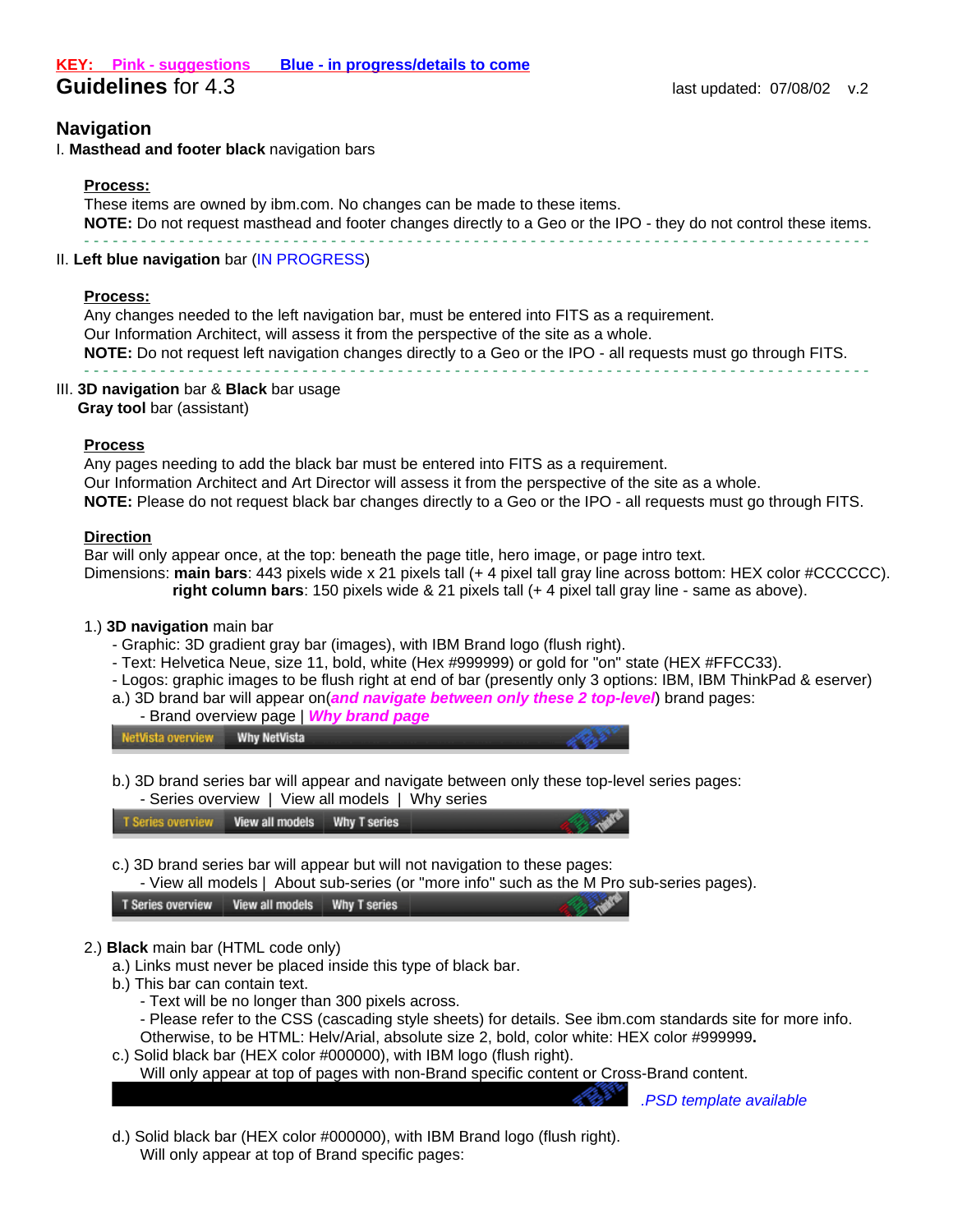# **Navigation**

I. **Masthead and footer black** navigation bars

#### **Process:**

These items are owned by ibm.com. No changes can be made to these items. **NOTE:** Do not request masthead and footer changes directly to a Geo or the IPO - they do not control these items. - - - - - - - - - - - - - - - - - - - - - - - - - - - - - - - - - - - - - - - - - - - - - - - - - - - - - - - - - - - - - - - - - - - - - - - - - - - - - - - - - - -

### II. **Left blue navigation** bar (IN PROGRESS)

#### **Process:**

Any changes needed to the left navigation bar, must be entered into FITS as a requirement. Our Information Architect, will assess it from the perspective of the site as a whole. **NOTE:** Do not request left navigation changes directly to a Geo or the IPO - all requests must go through FITS. - - - - - - - - - - - - - - - - - - - - - - - - - - - - - - - - - - - - - - - - - - - - - - - - - - - - - - - - - - - - - - - - - - - - - - - - - - - - - - - - - - -

### III. **3D navigation** bar & **Black** bar usage

**Gray tool** bar (assistant)

# **Process**

Any pages needing to add the black bar must be entered into FITS as a requirement. Our Information Architect and Art Director will assess it from the perspective of the site as a whole. **NOTE:** Please do not request black bar changes directly to a Geo or the IPO - all requests must go through FITS.

### **Direction**

Bar will only appear once, at the top: beneath the page title, hero image, or page intro text. Dimensions: **main bars**: 443 pixels wide x 21 pixels tall (+ 4 pixel tall gray line across bottom: HEX color #CCCCCC). **right column bars**: 150 pixels wide & 21 pixels tall (+ 4 pixel tall gray line - same as above).

# 1.) **3D navigation** main bar

- Graphic: 3D gradient gray bar (images), with IBM Brand logo (flush right).
- Text: Helvetica Neue, size 11, bold, white (Hex #999999) or gold for "on" state (HEX #FFCC33).
- Logos: graphic images to be flush right at end of bar (presently only 3 options: IBM, IBM ThinkPad & eserver)
- a.) 3D brand bar will appear on(**and navigate between only these 2 top-level**) brand pages:
- Brand overview page | **Why brand page**



b.) 3D brand series bar will appear and navigate between only these top-level series pages: - Series overview | View all models | Why series

| T Series overview    View all models    VI    VI    VI    VI    VI    VI    VI    VI    VI    VI    VI    VI    VI    VI    VI    VI    VI    VI    VI    VI    VI    VI    VI    VI    VI    VI    VI    VI    VI    VI    VI |  |  |
|--------------------------------------------------------------------------------------------------------------------------------------------------------------------------------------------------------------------------------|--|--|
|                                                                                                                                                                                                                                |  |  |

- c.) 3D brand series bar will appear but will not navigation to these pages:
	- View all models | About sub-series (or "more info" such as the M Pro sub-series pages).

| <b>T Series overview</b> | View all models | Why T series |
|--------------------------|-----------------|--------------|

# 2.) **Black** main bar (HTML code only)

- a.) Links must never be placed inside this type of black bar.
- b.) This bar can contain text.
	- Text will be no longer than 300 pixels across.
	- Please refer to the CSS (cascading style sheets) for details. See ibm.com standards site for more info. Otherwise, to be HTML: Helv/Arial, absolute size 2, bold, color white: HEX color #999999**.**
- c.) Solid black bar (HEX color #000000), with IBM logo (flush right).
	- Will only appear at top of pages with non-Brand specific content or Cross-Brand content.

.PSD template available

d.) Solid black bar (HEX color #000000), with IBM Brand logo (flush right). Will only appear at top of Brand specific pages: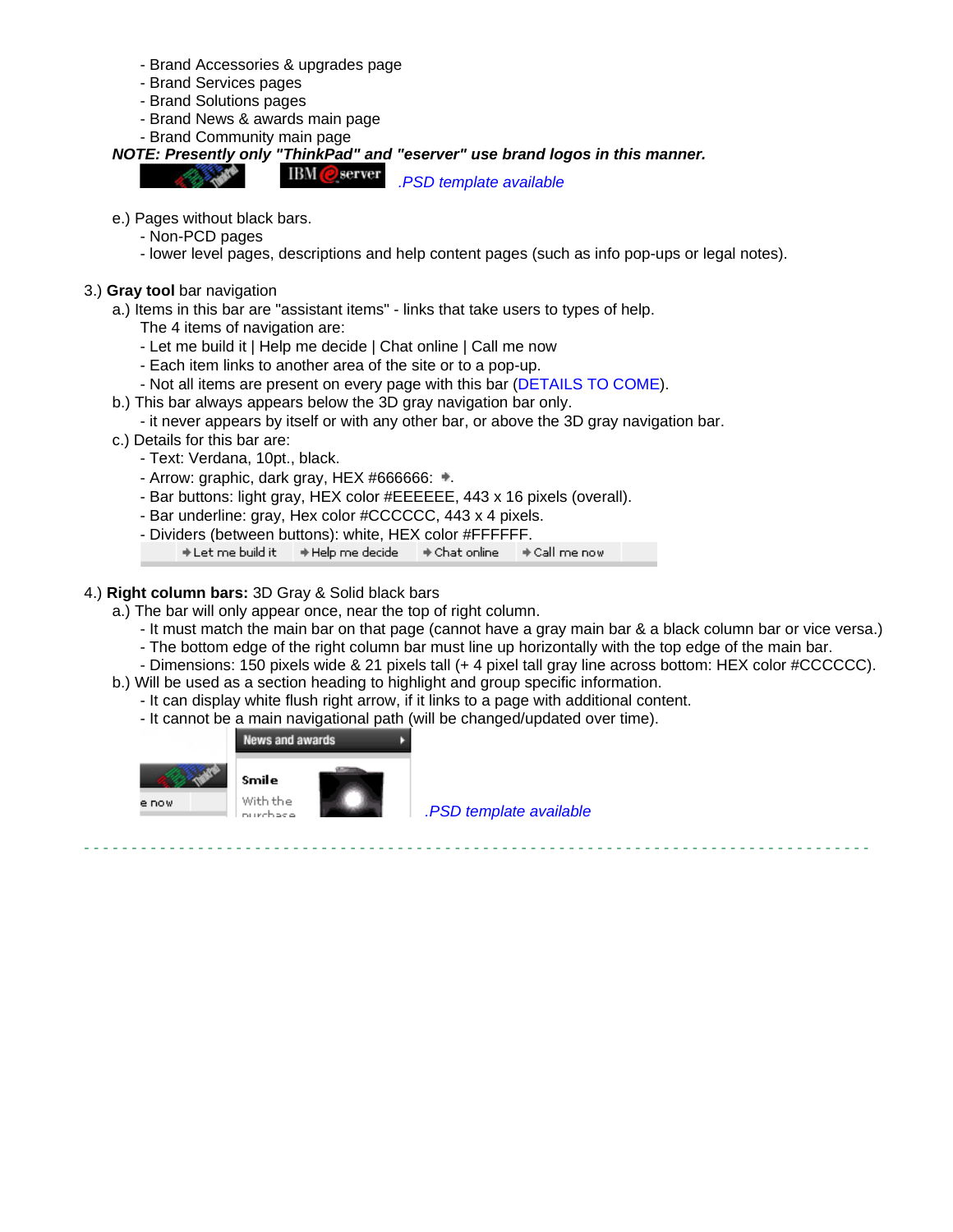- Brand Accessories & upgrades page
- Brand Services pages
- Brand Solutions pages
- Brand News & awards main page
- Brand Community main page

**NOTE: Presently only "ThinkPad" and "eserver" use brand logos in this manner.**

**IBM** @ server .PSD template available

- e.) Pages without black bars.
	- Non-PCD pages
	- lower level pages, descriptions and help content pages (such as info pop-ups or legal notes).
- 3.) **Gray tool** bar navigation
	- a.) Items in this bar are "assistant items" links that take users to types of help.
		- The 4 items of navigation are:
		- Let me build it | Help me decide | Chat online | Call me now
		- Each item links to another area of the site or to a pop-up.
		- Not all items are present on every page with this bar (DETAILS TO COME).
	- b.) This bar always appears below the 3D gray navigation bar only.
		- it never appears by itself or with any other bar, or above the 3D gray navigation bar.
	- c.) Details for this bar are:
		- Text: Verdana, 10pt., black.
		- Arrow: graphic, dark gray, HEX #666666:  $\equiv$ .
		- Bar buttons: light gray, HEX color #EEEEEE, 443 x 16 pixels (overall).
		- Bar underline: gray, Hex color #CCCCCC, 443 x 4 pixels.
		- Dividers (between buttons): white, HEX color #FFFFFF.

→ Let me build it → Help me decide → Chat online → Call me now

# 4.) **Right column bars:** 3D Gray & Solid black bars

Smile

- a.) The bar will only appear once, near the top of right column.
	- It must match the main bar on that page (cannot have a gray main bar & a black column bar or vice versa.)
	- The bottom edge of the right column bar must line up horizontally with the top edge of the main bar.
	- Dimensions: 150 pixels wide & 21 pixels tall (+ 4 pixel tall gray line across bottom: HEX color #CCCCCC).
- b.) Will be used as a section heading to highlight and group specific information.
	- It can display white flush right arrow, if it links to a page with additional content.
	- It cannot be a main navigational path (will be changed/updated over time).





With the nurchaea

.PSD template available

- - - - - - - - - - - - - - - - - - - - - - - - - - - - - - - - - - - - - - - - - - - - - - - - - - - - - - - - - - - - - - - - - - - - - - - - - - - - - - - - - - -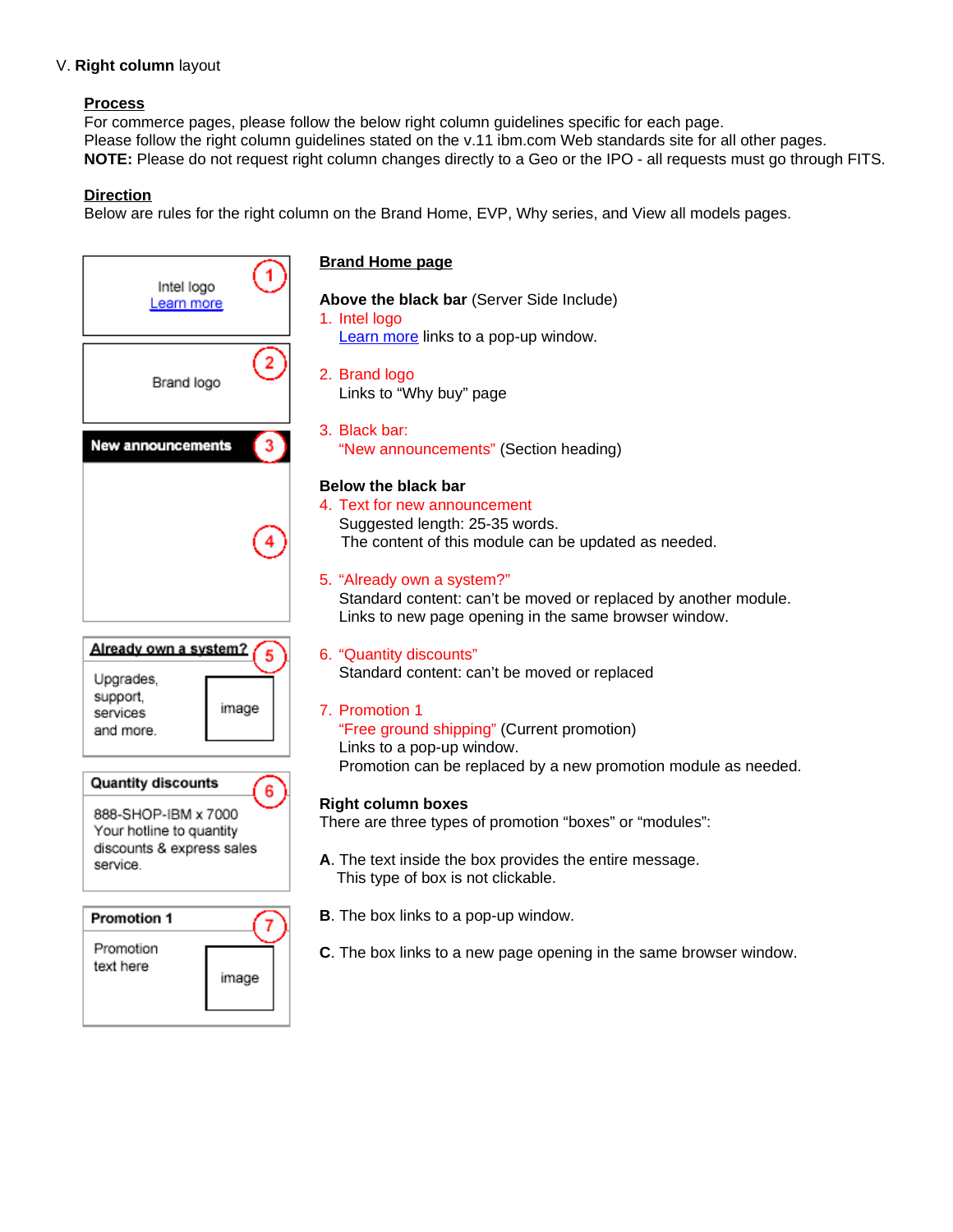# V. **Right column** layout

# **Process**

For commerce pages, please follow the below right column guidelines specific for each page. Please follow the right column guidelines stated on the v.11 ibm.com Web standards site for all other pages. **NOTE:** Please do not request right column changes directly to a Geo or the IPO - all requests must go through FITS.

# **Direction**

Below are rules for the right column on the Brand Home, EVP, Why series, and View all models pages.

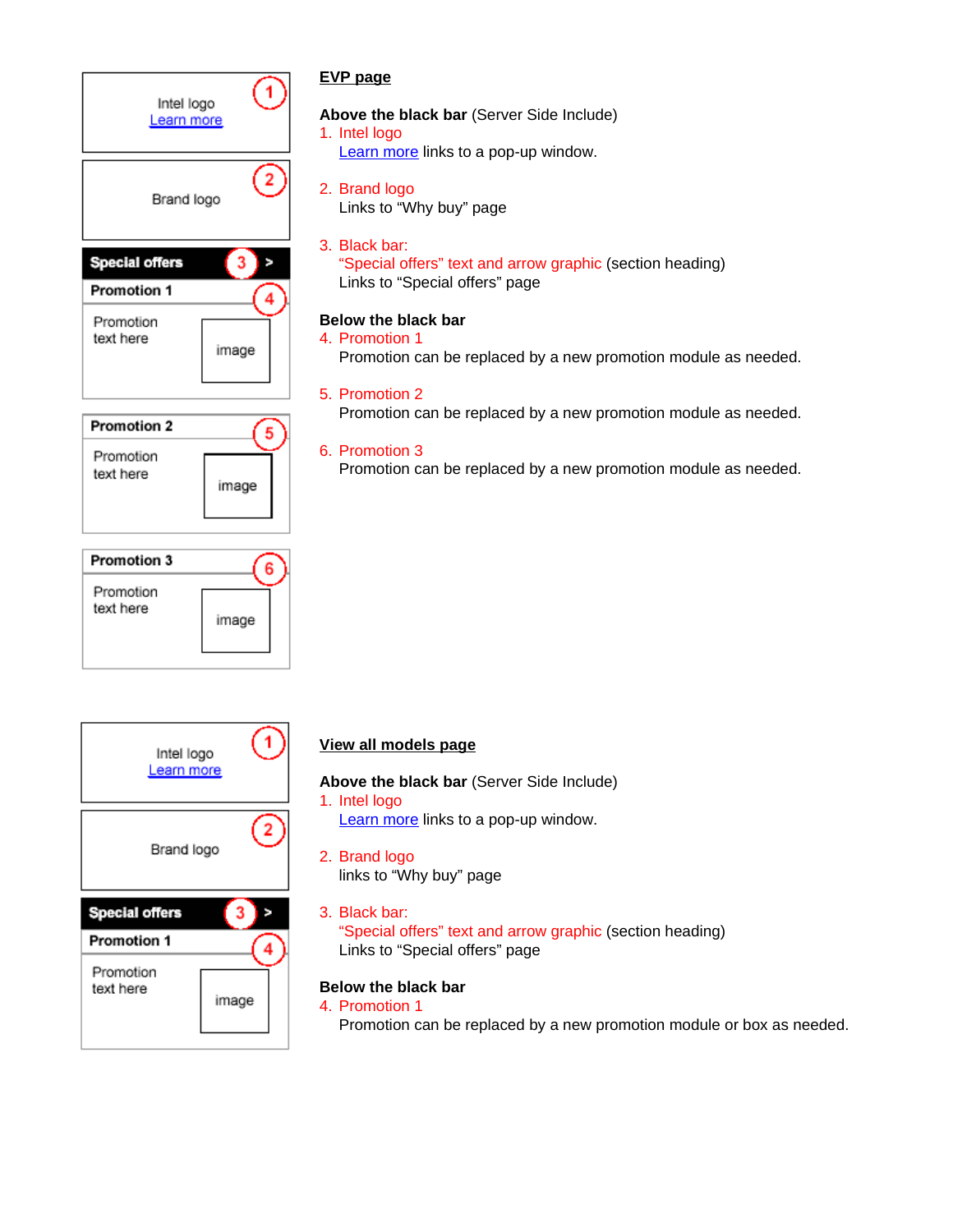





# **EVP page**

**Above the black bar** (Server Side Include)

- 1. Intel logo
	- Learn more links to a pop-up window.
- 2. Brand logo Links to "Why buy" page
- 3. Black bar: "Special offers" text and arrow graphic (section heading) Links to "Special offers" page

# **Below the black bar**

- 4. Promotion 1
	- Promotion can be replaced by a new promotion module as needed.
- 5. Promotion 2 Promotion can be replaced by a new promotion module as needed.

# 6. Promotion 3

Promotion can be replaced by a new promotion module as needed.

# **View all models page**

**Above the black bar** (Server Side Include)

- 1. Intel logo Learn more links to a pop-up window.
- 2. Brand logo links to "Why buy" page
- 3. Black bar: "Special offers" text and arrow graphic (section heading) Links to "Special offers" page

# **Below the black bar**

4. Promotion 1

Promotion can be replaced by a new promotion module or box as needed.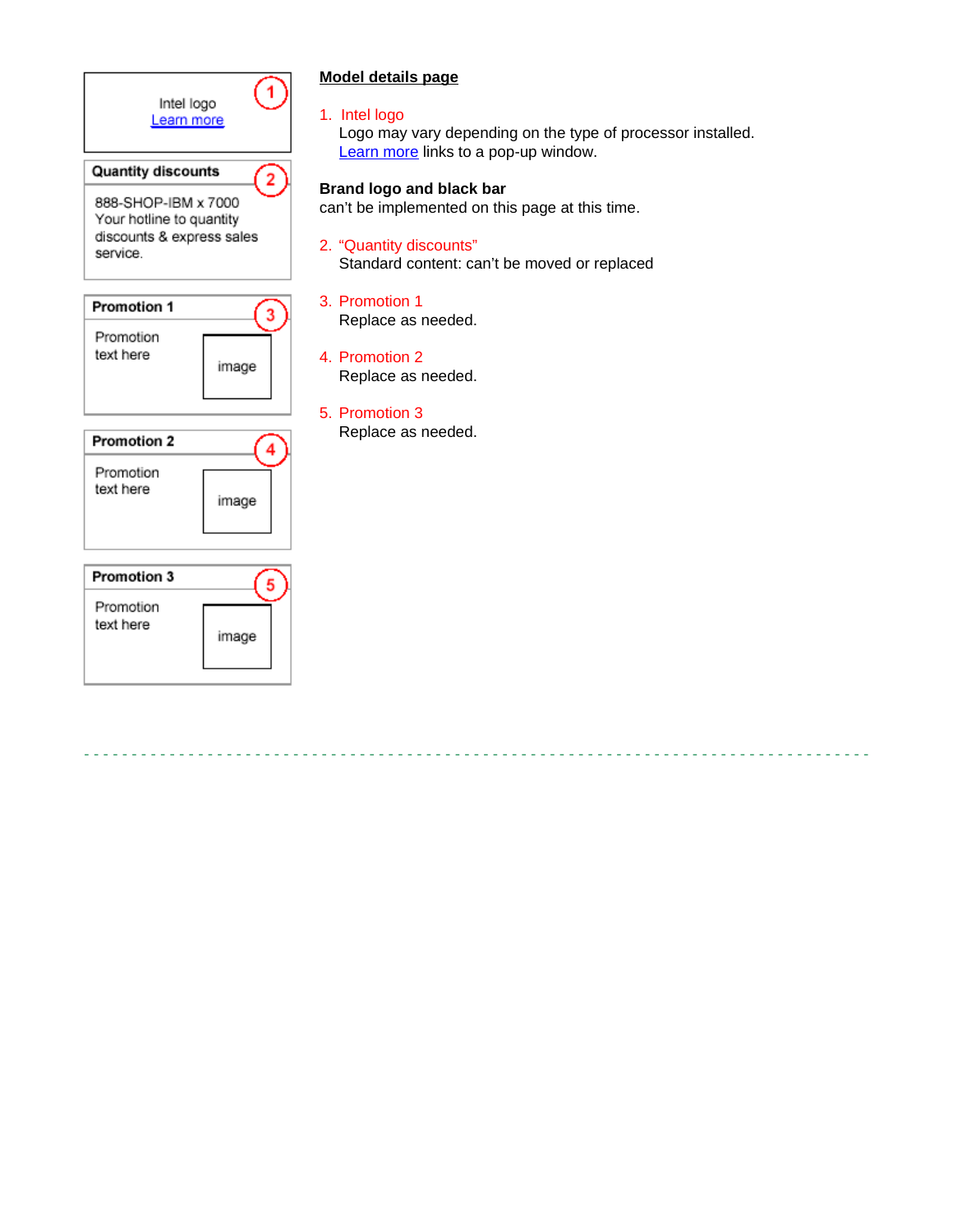

# **Model details page**

1. Intel logo

Logo may vary depending on the type of processor installed. Learn more links to a pop-up window.

# **Brand logo and black bar**

can't be implemented on this page at this time.

2. "Quantity discounts" Standard content: can't be moved or replaced

- - - - - - - - - - - - - - - - - - - - - - - - - - - - - - - - - - - - - - - - - - - - - - - - - - - - - - - - - - - - - - - - - - - - - - - - - - - - - - - - - - -

3. Promotion 1

Replace as needed.

- 4. Promotion 2 Replace as needed.
- 5. Promotion 3 Replace as needed.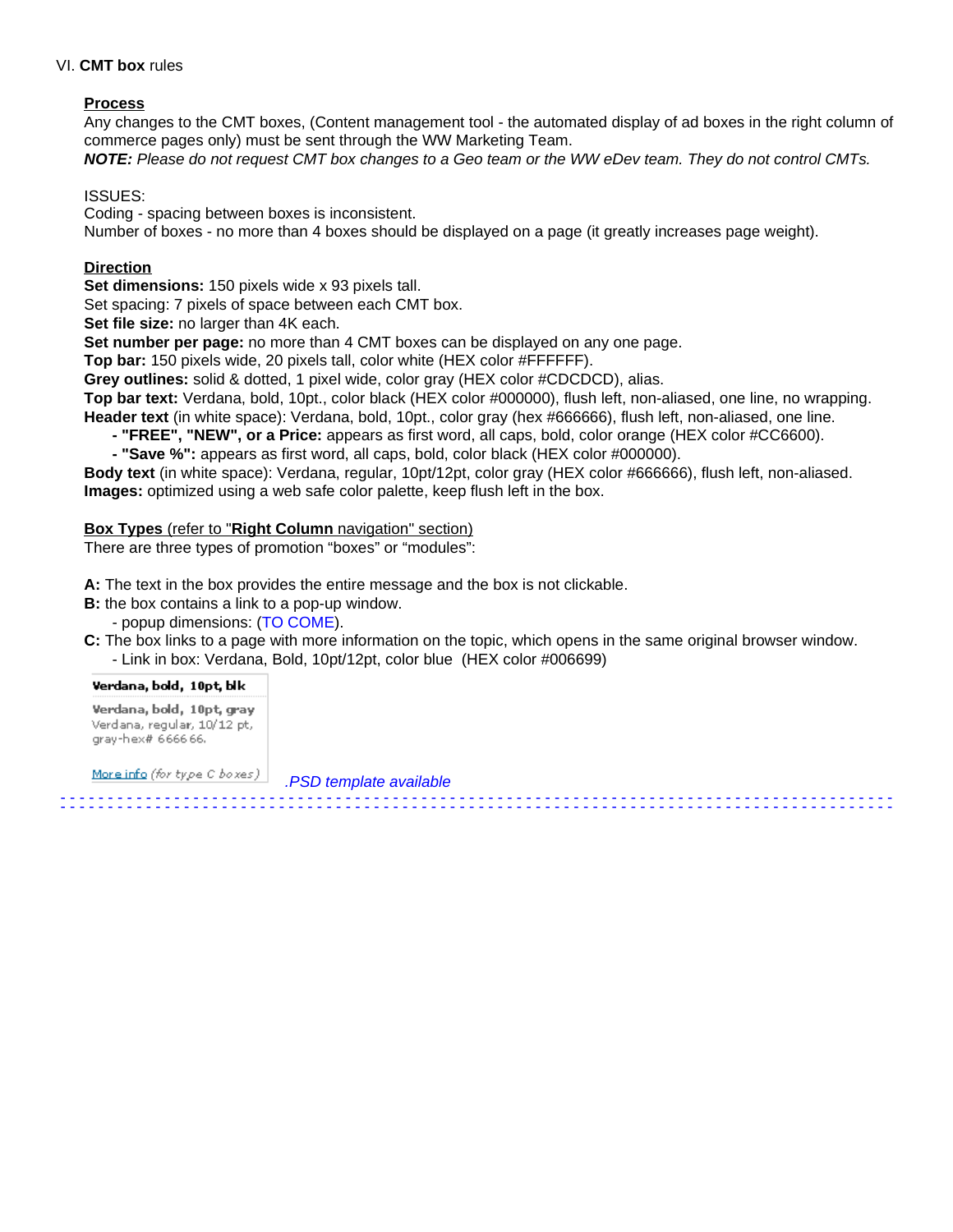### VI. **CMT box** rules

# **Process**

Any changes to the CMT boxes, (Content management tool - the automated display of ad boxes in the right column of commerce pages only) must be sent through the WW Marketing Team.

**NOTE:** Please do not request CMT box changes to a Geo team or the WW eDev team. They do not control CMTs.

ISSUES:

Coding - spacing between boxes is inconsistent.

Number of boxes - no more than 4 boxes should be displayed on a page (it greatly increases page weight).

### **Direction**

**Set dimensions:** 150 pixels wide x 93 pixels tall.

Set spacing: 7 pixels of space between each CMT box.

**Set file size:** no larger than 4K each.

**Set number per page:** no more than 4 CMT boxes can be displayed on any one page.

**Top bar:** 150 pixels wide, 20 pixels tall, color white (HEX color #FFFFFF).

**Grey outlines:** solid & dotted, 1 pixel wide, color gray (HEX color #CDCDCD), alias.

**Top bar text:** Verdana, bold, 10pt., color black (HEX color #000000), flush left, non-aliased, one line, no wrapping. **Header text** (in white space): Verdana, bold, 10pt., color gray (hex #666666), flush left, non-aliased, one line.

**- "FREE", "NEW", or a Price:** appears as first word, all caps, bold, color orange (HEX color #CC6600).

**- "Save %":** appears as first word, all caps, bold, color black (HEX color #000000).

**Body text** (in white space): Verdana, regular, 10pt/12pt, color gray (HEX color #666666), flush left, non-aliased. **Images:** optimized using a web safe color palette, keep flush left in the box.

#### **Box Types** (refer to "**Right Column** navigation" section)

There are three types of promotion "boxes" or "modules":

**A:** The text in the box provides the entire message and the box is not clickable.

**B:** the box contains a link to a pop-up window.

- popup dimensions: (TO COME).

**C:** The box links to a page with more information on the topic, which opens in the same original browser window. - Link in box: Verdana, Bold, 10pt/12pt, color blue (HEX color #006699)

- - - - - - - - - - - - - - - - - - - - - - - - - - - - - - - - - - - - - - - - - - - - - - - - - - - - - - - - - - - - - - - - - - - - - - - - - - - - - - - - - - - - - - - -

- - - - - - - - - - - - - - - - - - - - - - - - - - - - - - - - - - - - - - - - - - - - - - - - - - - - - - - - - - - - - - - - - - - - - - - - - - - - - - - - - - - - - - - -

Verdana, bold, 10pt, blk Verdana, bold, 10pt, gray Verdana, regular, 10/12 pt, gray-hex# 666666.

More info (for type C boxes)

.PSD template available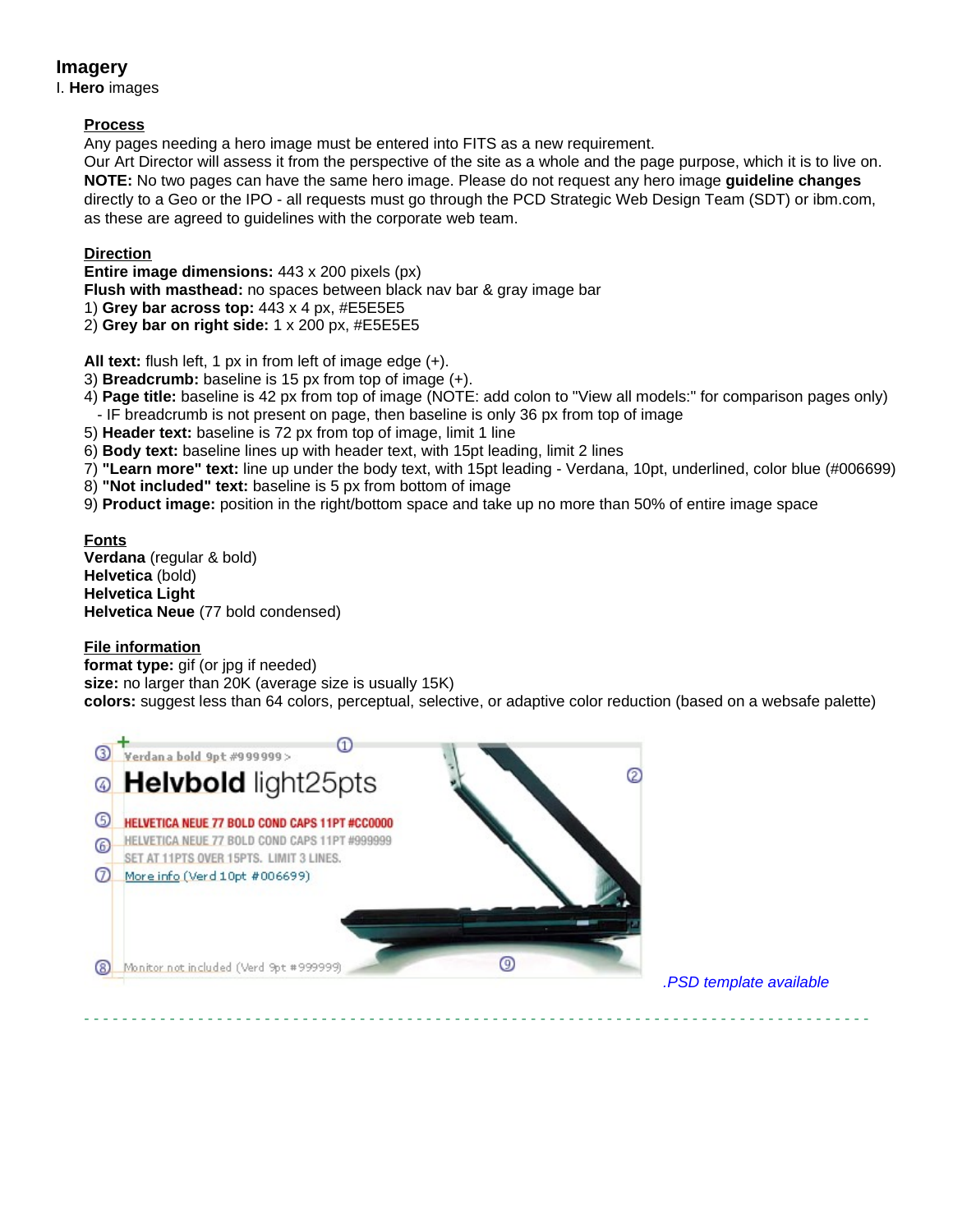# **Imagery**

I. **Hero** images

# **Process**

Any pages needing a hero image must be entered into FITS as a new requirement.

Our Art Director will assess it from the perspective of the site as a whole and the page purpose, which it is to live on. **NOTE:** No two pages can have the same hero image. Please do not request any hero image **guideline changes** directly to a Geo or the IPO - all requests must go through the PCD Strategic Web Design Team (SDT) or ibm.com, as these are agreed to guidelines with the corporate web team.

# **Direction**

**Entire image dimensions:** 443 x 200 pixels (px)

**Flush with masthead:** no spaces between black nav bar & gray image bar

- 1) **Grey bar across top:** 443 x 4 px, #E5E5E5
- 2) **Grey bar on right side:** 1 x 200 px, #E5E5E5

**All text:** flush left, 1 px in from left of image edge (+).

- 3) **Breadcrumb:** baseline is 15 px from top of image (+).
- 4) **Page title:** baseline is 42 px from top of image (NOTE: add colon to "View all models:" for comparison pages only) - IF breadcrumb is not present on page, then baseline is only 36 px from top of image
- 5) **Header text:** baseline is 72 px from top of image, limit 1 line
- 6) **Body text:** baseline lines up with header text, with 15pt leading, limit 2 lines
- 7) **"Learn more" text:** line up under the body text, with 15pt leading Verdana, 10pt, underlined, color blue (#006699)
- 8) **"Not included" text:** baseline is 5 px from bottom of image
- 9) **Product image:** position in the right/bottom space and take up no more than 50% of entire image space

**Fonts Verdana** (regular & bold) **Helvetica** (bold) **Helvetica Light Helvetica Neue** (77 bold condensed)

# **File information**

**format type:** gif (or jpg if needed)

**size:** no larger than 20K (average size is usually 15K)

**colors:** suggest less than 64 colors, perceptual, selective, or adaptive color reduction (based on a websafe palette)

- - - - - - - - - - - - - - - - - - - - - - - - - - - - - - - - - - - - - - - - - - - - - - - - - - - - - - - - - - - - - - - - - - - - - - - - - - - - - - - - - - -



.PSD template available